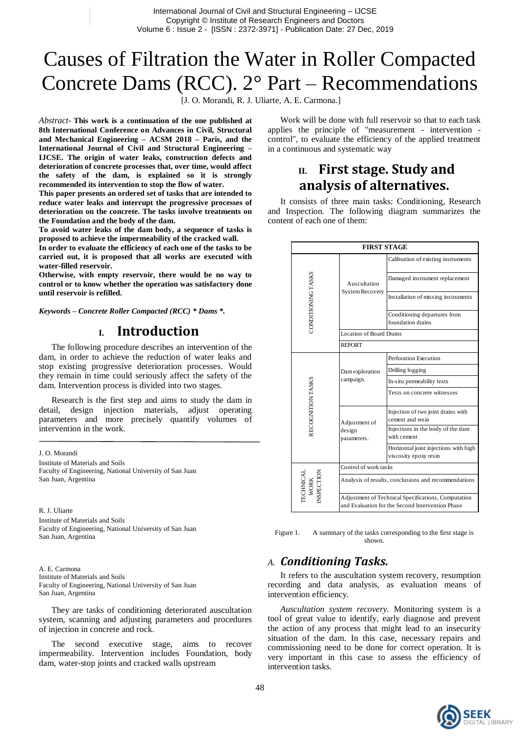# Causes of Filtration the Water in Roller Compacted Concrete Dams (RCC). 2° Part – Recommendations

[J. O. Morandi, R. J. Uliarte, A. E. Carmona.]

*Abstract*- **This work is a continuation of the one published at 8th International Conference on Advances in Civil, Structural and Mechanical Engineering – ACSM 2018 – Paris, and the International Journal of Civil and Structural Engineering – IJCSE. The origin of water leaks, construction defects and deterioration of concrete processes that, over time, would affect the safety of the dam, is explained so it is strongly recommended its intervention to stop the flow of water.**

**This paper presents an ordered set of tasks that are intended to reduce water leaks and interrupt the progressive processes of deterioration on the concrete. The tasks involve treatments on the Foundation and the body of the dam.**

**To avoid water leaks of the dam body, a sequence of tasks is proposed to achieve the impermeability of the cracked wall.**

**In order to evaluate the efficiency of each one of the tasks to be carried out, it is proposed that all works are executed with water-filled reservoir.**

**Otherwise, with empty reservoir, there would be no way to control or to know whether the operation was satisfactory done until reservoir is refilled.**

*Keywords – Concrete Roller Compacted (RCC) \* Dams \*.*

### **I. Introduction**

The following procedure describes an intervention of the dam, in order to achieve the reduction of water leaks and stop existing progressive deterioration processes. Would they remain in time could seriously affect the safety of the dam. Intervention process is divided into two stages.

Research is the first step and aims to study the dam in detail, design injection materials, adjust operating parameters and more precisely quantify volumes of intervention in the work.

J. O. Morandi

Institute of Materials and Soils Faculty of Engineering, National University of San Juan San Juan, Argentina

R. J. Uliarte Institute of Materials and Soils Faculty of Engineering, National University of San Juan San Juan, Argentina

A. E. Carmona Institute of Materials and Soils Faculty of Engineering, National University of San Juan San Juan, Argentina

They are tasks of conditioning deteriorated auscultation system, scanning and adjusting parameters and procedures of injection in concrete and rock.

The second executive stage, aims to recover impermeability. Intervention includes Foundation, body dam, water-stop joints and cracked walls upstream

Work will be done with full reservoir so that to each task applies the principle of "measurement - intervention control", to evaluate the efficiency of the applied treatment in a continuous and systematic way

# **II. First stage. Study and analysis of alternatives.**

It consists of three main tasks: Conditioning, Research and Inspection. The following diagram summarizes the content of each one of them:

| <b>FIRST STAGE</b>              |                                                                                                         |                                                                |  |  |  |
|---------------------------------|---------------------------------------------------------------------------------------------------------|----------------------------------------------------------------|--|--|--|
| CONDITIONING TASKS              | Auscultation<br>System Recovery                                                                         | Calibration of existing instruments                            |  |  |  |
|                                 |                                                                                                         | Damaged instrument replacement                                 |  |  |  |
|                                 |                                                                                                         | Installation of missing instruments                            |  |  |  |
|                                 |                                                                                                         | Conditioning departures from<br>foundation drains              |  |  |  |
|                                 | Location of Board Drains                                                                                |                                                                |  |  |  |
|                                 | <b>REPORT</b>                                                                                           |                                                                |  |  |  |
| RECOGNITION TASKS               | Dam exploration<br>campaign.                                                                            | Perforation Execution                                          |  |  |  |
|                                 |                                                                                                         | Drilling logging                                               |  |  |  |
|                                 |                                                                                                         | In-situ permeability tests                                     |  |  |  |
|                                 |                                                                                                         | Tests on concrete witnesses                                    |  |  |  |
|                                 | Adjustment of<br>design<br>parameters.                                                                  | Injection of two joint drains with<br>cement and resin         |  |  |  |
|                                 |                                                                                                         | Injections in the body of the dam<br>with cement               |  |  |  |
|                                 |                                                                                                         | Horizontal joint injections with high<br>viscosity epoxy resin |  |  |  |
|                                 | Control of work tasks                                                                                   |                                                                |  |  |  |
| TECHNICAL<br>WORK<br>INSPECTION | Analysis of results, conclusions and recommendations                                                    |                                                                |  |  |  |
|                                 | Adjustment of Technical Specifications, Computation<br>and Evaluation for the Second Intervention Phase |                                                                |  |  |  |

Figure 1. A summary of the tasks corresponding to the first stage is shown.

#### *A. Conditioning Tasks.*

It refers to the auscultation system recovery, resumption recording and data analysis, as evaluation means of intervention efficiency.

*Auscultation system recovery.* Monitoring system is a tool of great value to identify, early diagnose and prevent the action of any process that might lead to an insecurity situation of the dam. In this case, necessary repairs and commissioning need to be done for correct operation. It is very important in this case to assess the efficiency of intervention tasks.

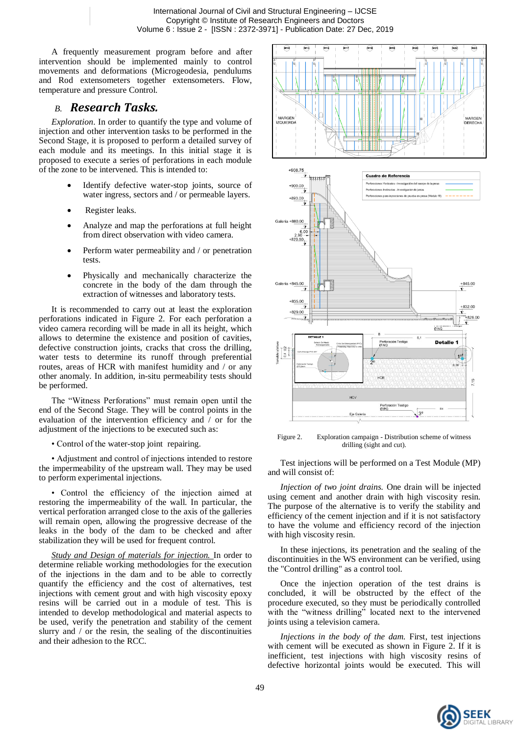A frequently measurement program before and after intervention should be implemented mainly to control movements and deformations (Microgeodesia, pendulums and Rod extensometers together extensometers. Flow, temperature and pressure Control.

#### *B. Research Tasks.*

*Exploration*. In order to quantify the type and volume of injection and other intervention tasks to be performed in the Second Stage, it is proposed to perform a detailed survey of each module and its meetings. In this initial stage it is proposed to execute a series of perforations in each module of the zone to be intervened. This is intended to:

- Identify defective water-stop joints, source of water ingress, sectors and / or permeable layers.
- Register leaks.
- Analyze and map the perforations at full height from direct observation with video camera.
- Perform water permeability and / or penetration tests.
- Physically and mechanically characterize the concrete in the body of the dam through the extraction of witnesses and laboratory tests.

It is recommended to carry out at least the exploration perforations indicated in Figure 2. For each perforation a video camera recording will be made in all its height, which allows to determine the existence and position of cavities, defective construction joints, cracks that cross the drilling, water tests to determine its runoff through preferential routes, areas of HCR with manifest humidity and / or any other anomaly. In addition, in-situ permeability tests should be performed.

The "Witness Perforations" must remain open until the end of the Second Stage. They will be control points in the evaluation of the intervention efficiency and / or for the adjustment of the injections to be executed such as:

• Control of the water-stop joint repairing.

• Adjustment and control of injections intended to restore the impermeability of the upstream wall. They may be used to perform experimental injections.

• Control the efficiency of the injection aimed at restoring the impermeability of the wall. In particular, the vertical perforation arranged close to the axis of the galleries will remain open, allowing the progressive decrease of the leaks in the body of the dam to be checked and after stabilization they will be used for frequent control.

*Study and Design of materials for injection.* In order to determine reliable working methodologies for the execution of the injections in the dam and to be able to correctly quantify the efficiency and the cost of alternatives, test injections with cement grout and with high viscosity epoxy resins will be carried out in a module of test. This is intended to develop methodological and material aspects to be used, verify the penetration and stability of the cement slurry and / or the resin, the sealing of the discontinuities and their adhesion to the RCC.



Figure 2. Exploration campaign - Distribution scheme of witness drilling (sight and cut).

Test injections will be performed on a Test Module (MP) and will consist of:

*Injection of two joint drains.* One drain will be injected using cement and another drain with high viscosity resin. The purpose of the alternative is to verify the stability and efficiency of the cement injection and if it is not satisfactory to have the volume and efficiency record of the injection with high viscosity resin.

In these injections, its penetration and the sealing of the discontinuities in the WS environment can be verified, using the "Control drilling" as a control tool.

Once the injection operation of the test drains is concluded, it will be obstructed by the effect of the procedure executed, so they must be periodically controlled with the "witness drilling" located next to the intervened joints using a television camera.

*Injections in the body of the dam.* First, test injections with cement will be executed as shown in Figure 2. If it is inefficient, test injections with high viscosity resins of defective horizontal joints would be executed. This will

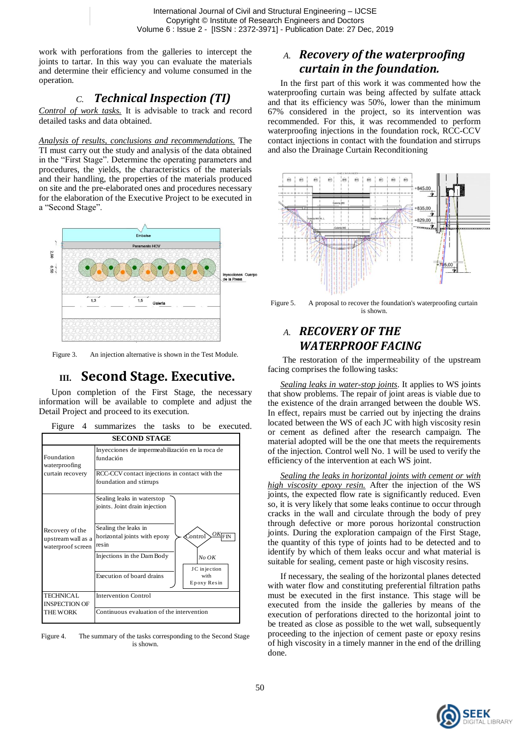work with perforations from the galleries to intercept the joints to tartar. In this way you can evaluate the materials and determine their efficiency and volume consumed in the operation.

## *C. Technical Inspection (TI)*

*Control of work tasks.* It is advisable to track and record detailed tasks and data obtained.

*Analysis of results, conclusions and recommendations.* The TI must carry out the study and analysis of the data obtained in the "First Stage". Determine the operating parameters and procedures, the yields, the characteristics of the materials and their handling, the properties of the materials produced on site and the pre-elaborated ones and procedures necessary for the elaboration of the Executive Project to be executed in a "Second Stage".



Figure 3. An injection alternative is shown in the Test Module.

# **III. Second Stage. Executive.**

Upon completion of the First Stage, the necessary information will be available to complete and adjust the Detail Project and proceed to its execution.

| Figure 4 summarizes the tasks to be executed. |  |  |  |  |  |
|-----------------------------------------------|--|--|--|--|--|
|-----------------------------------------------|--|--|--|--|--|

| SECOND STAGE                                               |                                                                                              |  |  |  |  |
|------------------------------------------------------------|----------------------------------------------------------------------------------------------|--|--|--|--|
| Foundation<br>waterproofing<br>curtain recovery            | Inyecciones de impermeabilización en la roca de<br>fundación                                 |  |  |  |  |
|                                                            | RCC-CCV contact injections in contact with the<br>foundation and stirrups                    |  |  |  |  |
| Recovery of the<br>upstream wall as a<br>waterproof screen | Sealing leaks in waterstop<br>joints. Joint drain injection                                  |  |  |  |  |
|                                                            | Sealing the leaks in<br>$\frac{OK}{FIN}$<br>Control<br>horizontal joints with epoxy<br>resin |  |  |  |  |
|                                                            | Injections in the Dam Body<br>No OK<br>JC injection                                          |  |  |  |  |
|                                                            | Execution of board drains<br>with<br>Epoxy Resin                                             |  |  |  |  |
| <b>TECHNICAL</b><br><b>INSPECTION OF</b>                   | <b>Intervention Control</b>                                                                  |  |  |  |  |
| <b>THE WORK</b>                                            | Continuous evaluation of the intervention                                                    |  |  |  |  |

Figure 4. The summary of the tasks corresponding to the Second Stage is shown.

## *A. Recovery of the waterproofing curtain in the foundation.*

In the first part of this work it was commented how the waterproofing curtain was being affected by sulfate attack and that its efficiency was 50%, lower than the minimum 67% considered in the project, so its intervention was recommended. For this, it was recommended to perform waterproofing injections in the foundation rock, RCC-CCV contact injections in contact with the foundation and stirrups and also the Drainage Curtain Reconditioning



Figure 5. A proposal to recover the foundation's waterproofing curtain is shown.

### *A. RECOVERY OF THE WATERPROOF FACING*

The restoration of the impermeability of the upstream facing comprises the following tasks:

*Sealing leaks in water-stop joints*. It applies to WS joints that show problems. The repair of joint areas is viable due to the existence of the drain arranged between the double WS. In effect, repairs must be carried out by injecting the drains located between the WS of each JC with high viscosity resin or cement as defined after the research campaign. The material adopted will be the one that meets the requirements of the injection. Control well No. 1 will be used to verify the efficiency of the intervention at each WS joint.

*Sealing the leaks in horizontal joints with cement or with high viscosity epoxy resin.* After the injection of the WS joints, the expected flow rate is significantly reduced. Even so, it is very likely that some leaks continue to occur through cracks in the wall and circulate through the body of prey through defective or more porous horizontal construction joints. During the exploration campaign of the First Stage, the quantity of this type of joints had to be detected and to identify by which of them leaks occur and what material is suitable for sealing, cement paste or high viscosity resins.

If necessary, the sealing of the horizontal planes detected with water flow and constituting preferential filtration paths must be executed in the first instance. This stage will be executed from the inside the galleries by means of the execution of perforations directed to the horizontal joint to be treated as close as possible to the wet wall, subsequently proceeding to the injection of cement paste or epoxy resins of high viscosity in a timely manner in the end of the drilling done.